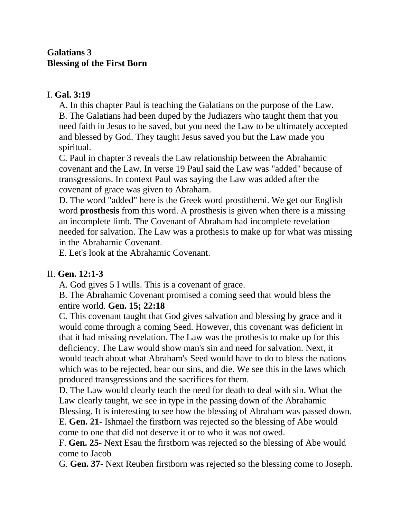## **Galatians 3 Blessing of the First Born**

## I. **Gal. 3:19**

A. In this chapter Paul is teaching the Galatians on the purpose of the Law. B. The Galatians had been duped by the Judiazers who taught them that you need faith in Jesus to be saved, but you need the Law to be ultimately accepted and blessed by God. They taught Jesus saved you but the Law made you spiritual.

C. Paul in chapter 3 reveals the Law relationship between the Abrahamic covenant and the Law. In verse 19 Paul said the Law was "added" because of transgressions. In context Paul was saying the Law was added after the covenant of grace was given to Abraham.

D. The word "added" here is the Greek word prostithemi. We get our English word **prosthesis** from this word. A prosthesis is given when there is a missing an incomplete limb. The Covenant of Abraham had incomplete revelation needed for salvation. The Law was a prothesis to make up for what was missing in the Abrahamic Covenant.

E. Let's look at the Abrahamic Covenant.

## II. **Gen. 12:1-3**

A. God gives 5 I wills. This is a covenant of grace.

B. The Abrahamic Covenant promised a coming seed that would bless the entire world. **Gen. 15; 22:18**

C. This covenant taught that God gives salvation and blessing by grace and it would come through a coming Seed. However, this covenant was deficient in that it had missing revelation. The Law was the prothesis to make up for this deficiency. The Law would show man's sin and need for salvation. Next, it would teach about what Abraham's Seed would have to do to bless the nations which was to be rejected, bear our sins, and die. We see this in the laws which produced transgressions and the sacrifices for them.

D. The Law would clearly teach the need for death to deal with sin. What the Law clearly taught, we see in type in the passing down of the Abrahamic Blessing. It is interesting to see how the blessing of Abraham was passed down.

E. **Gen. 21**- Ishmael the firstborn was rejected so the blessing of Abe would come to one that did not deserve it or to who it was not owed.

F. **Gen. 25**- Next Esau the firstborn was rejected so the blessing of Abe would come to Jacob

G. **Gen. 37**- Next Reuben firstborn was rejected so the blessing come to Joseph.